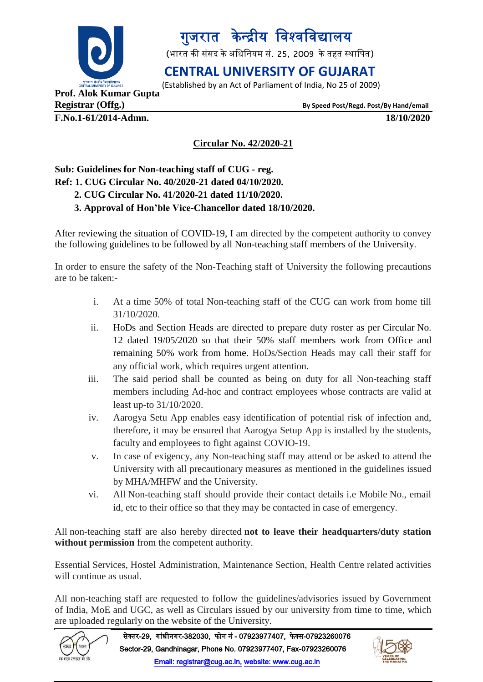

# गुजरात केन्द्रीय विश्वविद्यालय

(भारत की संसद के अधिनियम सं. 25, 2009 के तहत स्थापित)

### **CENTRAL UNIVERSITY OF GUJARAT**

(Established by an Act of Parliament of India, No 25 of 2009)

**F.No.1-61/2014-Admn. 18/10/2020**

**Registrar (Offg.) By Speed Post/Regd. Post/By Hand/email**

#### **Circular No. 42/2020-21**

### **Sub: Guidelines for Non-teaching staff of CUG - reg. Ref: 1. CUG Circular No. 40/2020-21 dated 04/10/2020. 2. CUG Circular No. 41/2020-21 dated 11/10/2020.**

#### **3. Approval of Hon'ble Vice-Chancellor dated 18/10/2020.**

After reviewing the situation of COVID-19, I am directed by the competent authority to convey the following guidelines to be followed by all Non-teaching staff members of the University.

In order to ensure the safety of the Non-Teaching staff of University the following precautions are to be taken:-

- i. At a time 50% of total Non-teaching staff of the CUG can work from home till 31/10/2020.
- ii. HoDs and Section Heads are directed to prepare duty roster as per Circular No. 12 dated 19/05/2020 so that their 50% staff members work from Office and remaining 50% work from home. HoDs/Section Heads may call their staff for any official work, which requires urgent attention.
- iii. The said period shall be counted as being on duty for all Non-teaching staff members including Ad-hoc and contract employees whose contracts are valid at least up-to 31/10/2020.
- iv. Aarogya Setu App enables easy identification of potential risk of infection and, therefore, it may be ensured that Aarogya Setup App is installed by the students, faculty and employees to fight against COVIO-19.
- v. In case of exigency, any Non-teaching staff may attend or be asked to attend the University with all precautionary measures as mentioned in the guidelines issued by MHA/MHFW and the University.
- vi. All Non-teaching staff should provide their contact details i.e Mobile No., email id, etc to their office so that they may be contacted in case of emergency.

All non-teaching staff are also hereby directed **not to leave their headquarters/duty station without permission** from the competent authority.

Essential Services, Hostel Administration, Maintenance Section, Health Centre related activities will continue as usual.

All non-teaching staff are requested to follow the guidelines/advisories issued by Government of India, MoE and UGC, as well as Circulars issued by our university from time to time, which are uploaded regularly on the website of the University.



सेक्टर-29, गांधीनगर-382030, फोन नं - 07923977407, फेक्स-07923260076 Sector-29, Gandhinagar, Phone No. 07923977407, Fax-07923260076 Email: registrar@cug.ac.in, website: www.cug.ac.in